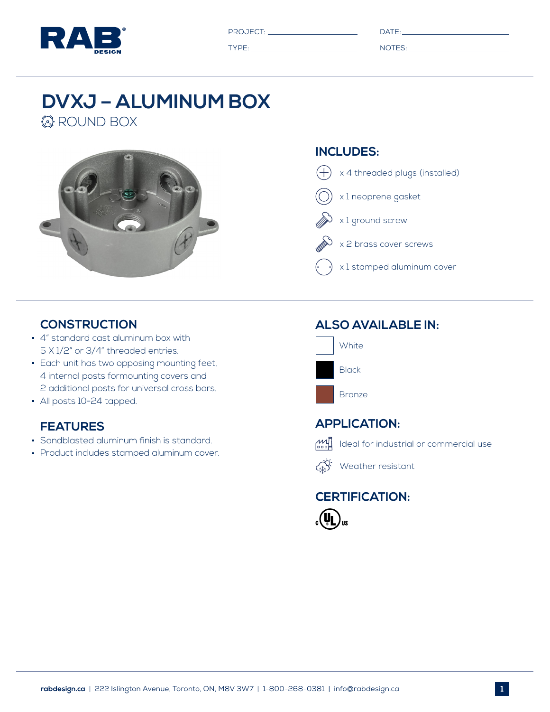

PROJECT: DATE: DATE: DATE: DATE: DATE: DATE: DATE: DATE: DATE: DATE: DATE: DATE: DATE: DATE: DATE: DATE: DATE: DATE: DATE: DATE: DATE: DATE: DATE: DATE: DATE: DATE: DATE: DATE: DATE: DATE: DATE: DATE: DATE: DATE: DATE: DAT

| I |   |
|---|---|
|   | × |
|   |   |
|   |   |
|   |   |

TYPE: NOTES:

# **DVXJ – ALUMINUM BOX**

*<b>B* ROUND BOX



#### **INCLUDES:**



#### **CONSTRUCTION**

- 4" standard cast aluminum box with 5 X 1/2" or 3/4" threaded entries.
- **Each unit has two opposing mounting feet,** 4 internal posts formounting covers and 2 additional posts for universal cross bars.
- All posts 10-24 tapped.

### **FEATURES**

- Sandblasted aluminum finish is standard.
- **Product includes stamped aluminum cover.**

## **ALSO AVAILABLE IN:**







 $\overrightarrow{X}$  Weather resistant

# **CERTIFICATION:**